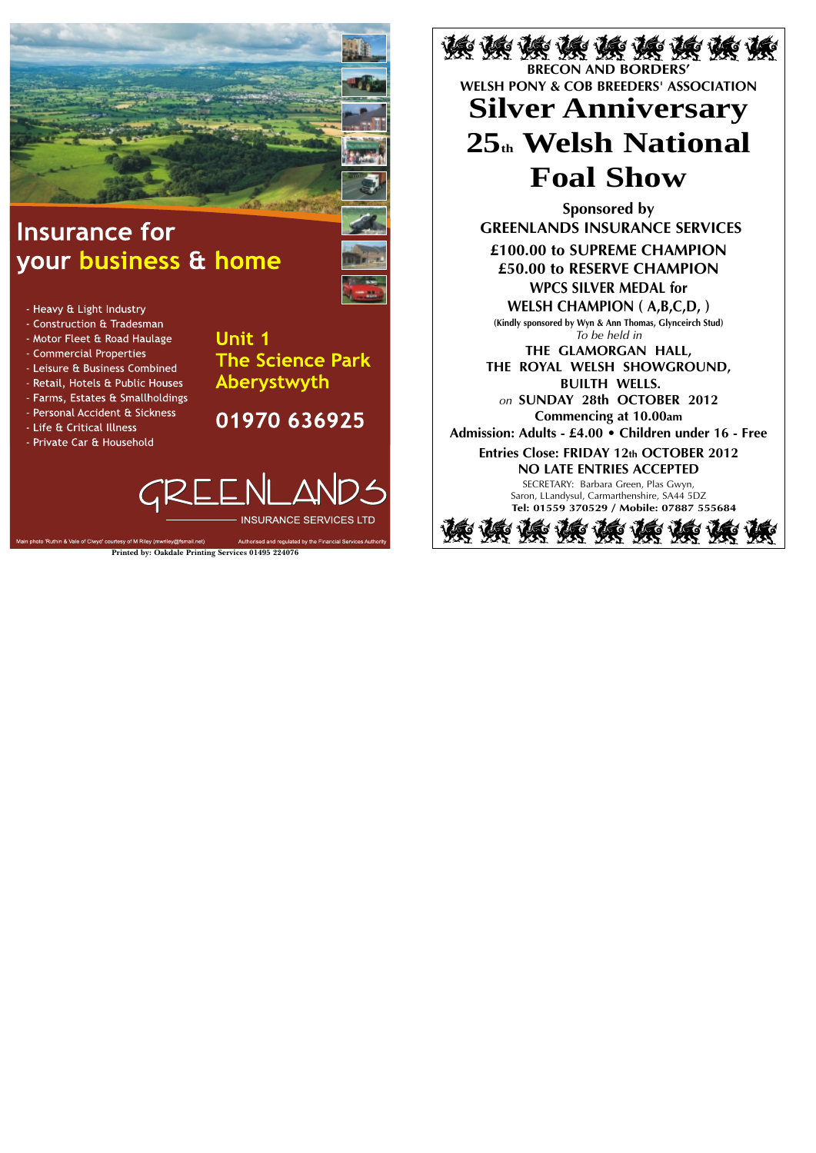

# **Insurance for** your business & home

- Heavy & Light Industry

- Construction & Tradesman
- Motor Fleet & Road Haulage
- Commercial Properties
- Leisure & Business Combined
- Retail, Hotels & Public Houses
- Farms, Estates & Smallholdings
- Personal Accident & Sickness
- Life & Critical Illness
- Private Car & Household

**Unit 1 The Science Park** Aberystwyth

01970 636925



Authorised and regulated by the Financial Services Autho

Main photo 'Ruthin & Vale of Clwyd' courtesy of M Riley (mwriley@fsmail.net)

读 诶 诶 诶 诶 诶 诶 诶 诶 **BRECON AND BORDERS' WELSH PONY & COB BREEDERS' ASSOCIATION Silver Anniversary**

# **25th Welsh National Foal Show**

**Sponsored by GREENLANDS INSURANCE SERVICES**

**£100.00 to SUPREME CHAMPION £50.00 to RESERVE CHAMPION WPCS SILVER MEDAL for** 

**WELSH CHAMPION ( A,B,C,D, ) (Kindly sponsored by Wyn & Ann Thomas, Glynceirch Stud)** *To be held in*

**THE GLAMORGAN HALL, THE ROYAL WELSH SHOWGROUND, BUILTH WELLS.** *on* **SUNDAY 28th OCTOBER 2012**

**Commencing at 10.00am**

**Admission: Adults - £4.00 • Children under 16 - Free**

**Entries Close: FRIDAY 12th OCTOBER 2012 NO LATE ENTRIES ACCEPTED**

> SECRETARY: Barbara Green, Plas Gwyn, Saron, LLandysul, Carmarthenshire, SA44 5DZ **Tel: 01559 370529 / Mobile: 07887 555684**



**Printed by: Oakdale Printing Services 01495 224076**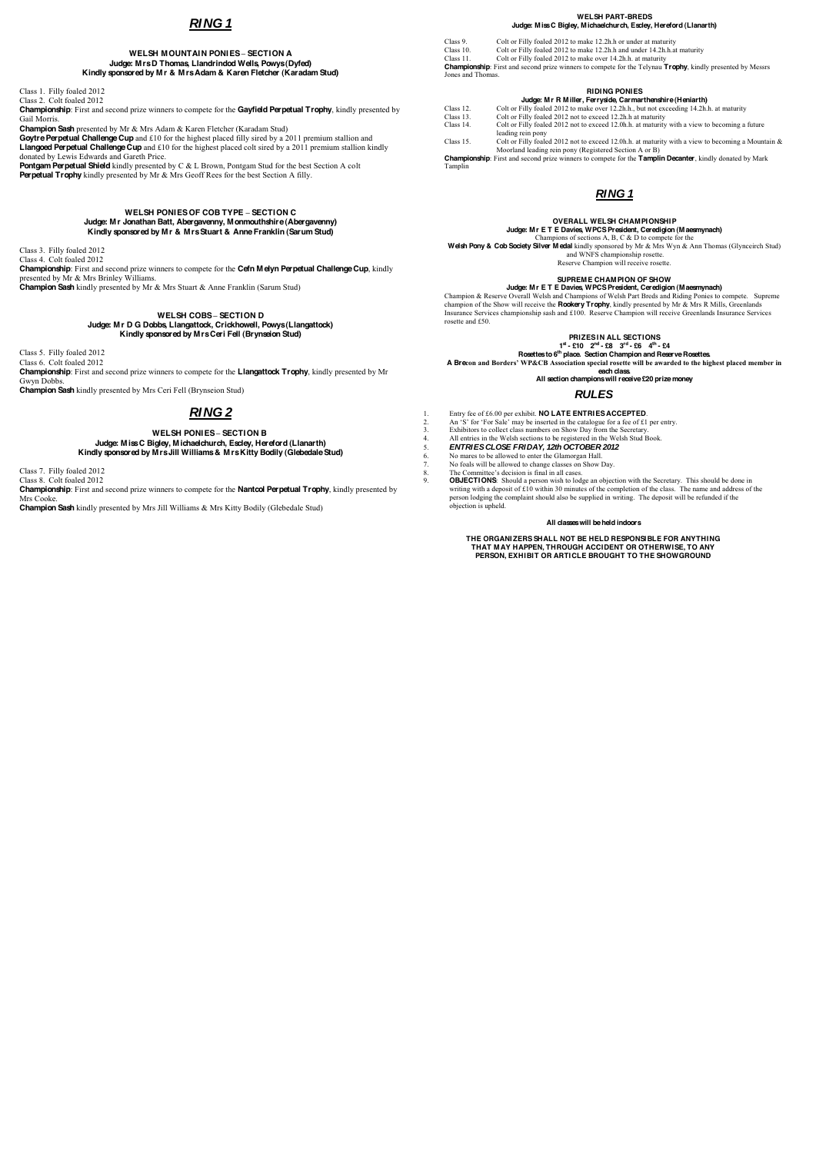# **RING 1**

### **WELSH MOUNTAIN PONIES - SECTION A Judge: Mrs D Thomas, Llandrindod Wells, Powys (Dyfed) Kindly sponsored by Mr & Mrs Adam & Karen Fletcher (Karadam Stud)**

Class 1. Filly foaled 2012

Class 2. Colt foaled 2012 **Championship**: First and second prize winners to compete for the **Gayfield Perpetual Trophy**, kindly presented by Gail Morris.

Goytre Perpetual Challenge Cup and £10 for the highest placed filly sired by a 2011 premium stallion and **Llangoed Perpetual Challenge Cup** and £10 for the highest placed colt sired by a 2011 premium stallion kindly donated by Lewis Edwards and Gareth Price.

**Champion Sash** presented by Mr & Mrs Adam & Karen Fletcher (Karadam Stud)

**Pontgam Perpetual Shield** kindly presented by C & L Brown, Pontgam Stud for the best Section A colt **Perpetual Trophy** kindly presented by Mr & Mrs Geoff Rees for the best Section A filly.

> **WELSH PONIES OF COB TYPE SECTION C Judge: Mr Jonathan Batt, Abergavenny, Monmouthshire (Abergavenny) Kindly sponsored by Mr & Mrs Stuart & Anne Franklin (Sarum Stud)**

Class 3. Filly foaled 2012

Class 4. Colt foaled 2012 **Championship**: First and second prize winners to compete for the **Cefn Melyn Perpetual Challenge Cup**, kindly presented by Mr & Mrs Brinley Williams. **Champion Sash** kindly presented by Mr & Mrs Stuart & Anne Franklin (Sarum Stud)

Colt or Filly foaled 2012 to make over 14.2h.h. at maturity **Championship**: First and second prize winners to compete for the Telynau **Trophy**, kindly presented by Messrs Jones and Thomas.

### **WELSH COBS SECTION D Judge: Mr D G Dobbs, Llangattock, Crickhowell, Powys (Llangattock) Kindly sponsored by Mrs Ceri Fell (Brynseion Stud)**

Class 5. Filly foaled 2012 Class 6. Colt foaled 2012 **Championship**: First and second prize winners to compete for the **Llangattock Trophy**, kindly presented by Mr Gwyn Dobbs. **Champion Sash** kindly presented by Mrs Ceri Fell (Brynseion Stud)

# **RING 2**

**WELSH PONIES SECTION B Judge: Miss C Bigley, Michaelchurch, Escley, Hereford (Llanarth) Kindly sponsored by Mrs Jill Williams & Mrs Kitty Bodily (Glebedale Stud)** 

Class 7. Filly foaled 2012

Class 8. Colt foaled 2012

**Championship**: First and second prize winners to compete for the **Nantcol Perpetual Trophy**, kindly presented by Mrs Cooke.

**Champion Sash** kindly presented by Mrs Jill Williams & Mrs Kitty Bodily (Glebedale Stud)

A Brecon and Borders' WP&CB Association special rosette will be awarded to the highest placed member in **each class.** 

#### **WELSH PART-BREDS Judge: Miss C Bigley, Michaelchurch, Escley, Hereford (Llanarth)**

Class 9. Colt or Filly foaled 2012 to make 12.2h.h or under at maturity

Class 10. Colt or Filly foaled 2012 to make 12.2h.h and under 14.2h.h.at maturity Class 11. Colt or Filly foaled 2012 to make over 14.2h.h. at maturity

- 1. Entry fee of £6.00 per exhibit. **NO LATE ENTRIES ACCEPTED**.<br>2. An 'S' for 'For Sale' may be inserted in the catalogue for a fee of £1
- 2. An 'S' for 'For Sale' may be inserted in the catalogue for a fee of  $£1$  per entry.
- 3. Exhibitors to collect class numbers on Show Day from the Secretary.<br>4. All entries in the Welsh sections to be registered in the Welsh Stud B
	- 4. All entries in the Welsh sections to be registered in the Welsh Stud Book.
- 5. **ENTRIES CLOSE FRIDAY, 12th OCTOBER 2012**<br>6. No mares to be allowed to enter the Glamorgan Hall.
	- No mares to be allowed to enter the Glamorgan Hall.
- 7. No foals will be allowed to change classes on Show Day.<br>8. The Committee's decision is final in all cases.
- 8. The Committee's decision is final in all cases.
- 9. **OBJECTIONS**: Should a person wish to lodge an objection with the Secretary. This should be done in writing with a deposit of £10 within 30 minutes of the completion of the class. The name and address of the person lodging the complaint should also be supplied in writing. The deposit will be refunded if the objection is upheld.

## **RIDING PONIES**

|           | Judge: Mr R Miller, Ferryside, Carmarthenshire (Heniarth)                               |
|-----------|-----------------------------------------------------------------------------------------|
| Class 12. | Colt or Filly foaled 2012 to make over 12.2h.h., but not exceeding 14.2h.h. at maturity |

Class 13. Colt or Filly foaled 2012 not to exceed 12.2h.h at maturity

Class 14. Colt or Filly foaled 2012 not to exceed 12.0h.h. at maturity with a view to becoming a future leading rein pony

Class 15. Colt or Filly foaled 2012 not to exceed 12.0h.h. at maturity with a view to becoming a Mountain &

Moorland leading rein pony (Registered Section A or B) **Championship**: First and second prize winners to compete for the **Tamplin Decanter**, kindly donated by Mark Tamplin

# **RING 1**

# **OVERALL WELSH CHAMPIONSHIP**

#### **Judge: Mr E T E Davies, WPCS President, Ceredigion (Maesmynach)**  Champions of sections A, B, C & D to compete for the

**Welsh Pony & Cob Society Silver Medal** kindly sponsored by Mr & Mrs Wyn & Ann Thomas (Glynceirch Stud) and WNFS championship rosette.

Reserve Champion will receive rosette.

### **SUPREME CHAMPION OF SHOW**

**Judge: Mr E T E Davies, WPCS President, Ceredigion (Maesmynach)**  Champion & Reserve Overall Welsh and Champions of Welsh Part Breds and Riding Ponies to compete. Supreme champion of the Show will receive the **Rookery Trophy**, kindly presented by Mr & Mrs R Mills, Greenlands Insurance Services championship sash and £100. Reserve Champion will receive Greenlands Insurance Services rosette and £50.

**PRIZES IN ALL SECTIONS** 

**1st - £10 2nd - £8 3rd - £6 4th - £4**

**Rosettes to 6th place. Section Champion and Reserve Rosettes.** 

**All section champions will receive £20 prize money** 

**RULES** 

#### **All classes will be held indoors**

**THE ORGANIZERS SHALL NOT BE HELD RESPONSIBLE FOR ANYTHING THAT MAY HAPPEN, THROUGH ACCIDENT OR OTHERWISE, TO ANY PERSON, EXHIBIT OR ARTICLE BROUGHT TO THE SHOWGROUND**